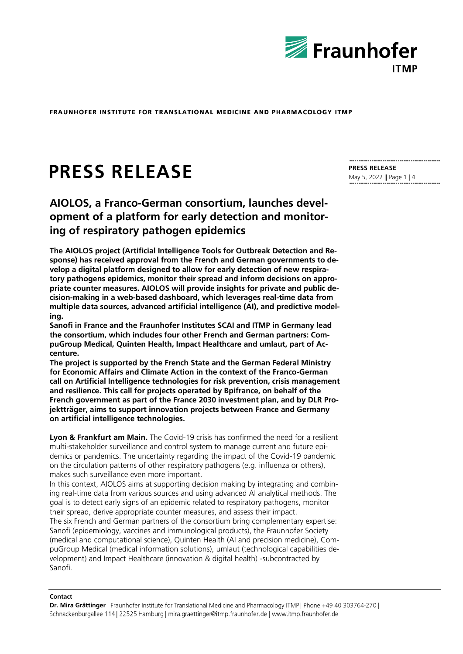

# **PRESS RELEASE**

**AIOLOS, a Franco-German consortium, launches development of a platform for early detection and monitoring of respiratory pathogen epidemics**

**The AIOLOS project (Artificial Intelligence Tools for Outbreak Detection and Response) has received approval from the French and German governments to develop a digital platform designed to allow for early detection of new respiratory pathogens epidemics, monitor their spread and inform decisions on appropriate counter measures. AIOLOS will provide insights for private and public decision-making in a web-based dashboard, which leverages real-time data from multiple data sources, advanced artificial intelligence (AI), and predictive modeling.** 

**Sanofi in France and the Fraunhofer Institutes SCAI and ITMP in Germany lead the consortium, which includes four other French and German partners: CompuGroup Medical, Quinten Health, Impact Healthcare and umlaut, part of Accenture.** 

**The project is supported by the French State and the German Federal Ministry for Economic Affairs and Climate Action in the context of the Franco-German call on Artificial Intelligence technologies for risk prevention, crisis management and resilience. This call for projects operated by Bpifrance, on behalf of the French government as part of the France 2030 investment plan, and by DLR Projektträger, aims to support innovation projects between France and Germany on artificial intelligence technologies.**

**Lyon & Frankfurt am Main.** The Covid-19 crisis has confirmed the need for a resilient multi-stakeholder surveillance and control system to manage current and future epidemics or pandemics. The uncertainty regarding the impact of the Covid-19 pandemic on the circulation patterns of other respiratory pathogens (e.g. influenza or others), makes such surveillance even more important.

In this context, AIOLOS aims at supporting decision making by integrating and combining real-time data from various sources and using advanced AI analytical methods. The goal is to detect early signs of an epidemic related to respiratory pathogens, monitor their spread, derive appropriate counter measures, and assess their impact.

The six French and German partners of the consortium bring complementary expertise: Sanofi (epidemiology, vaccines and immunological products), the Fraunhofer Society (medical and computational science), Quinten Health (AI and precision medicine), CompuGroup Medical (medical information solutions), umlaut (technological capabilities development) and Impact Healthcare (innovation & digital health) -subcontracted by Sanofi.

#### **Contact**

**Dr. Mira Grättinger** Schnackenburgallee 114 | 22525 Hamburg | mira.graettinger@itmp.fraunhofer.de | www.itmp.fraunhofer.de

**PRESS RELEASE** May 5, 2022 || Page 1 | 4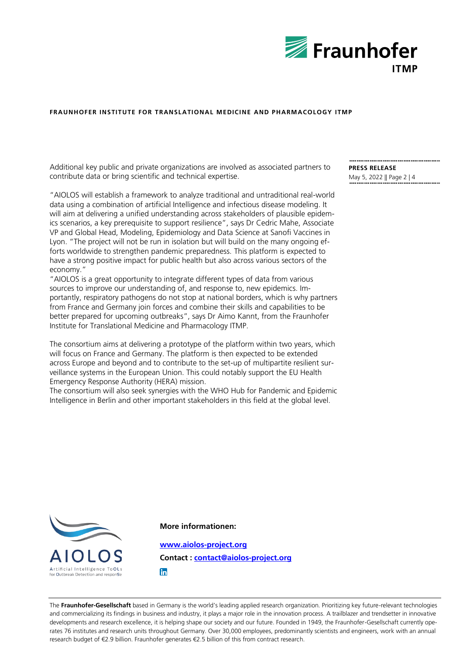

Additional key public and private organizations are involved as associated partners to contribute data or bring scientific and technical expertise.

"AIOLOS will establish a framework to analyze traditional and untraditional real-world data using a combination of artificial Intelligence and infectious disease modeling. It will aim at delivering a unified understanding across stakeholders of plausible epidemics scenarios, a key prerequisite to support resilience", says Dr Cedric Mahe, Associate VP and Global Head, Modeling, Epidemiology and Data Science at Sanofi Vaccines in Lyon. "The project will not be run in isolation but will build on the many ongoing efforts worldwide to strengthen pandemic preparedness. This platform is expected to have a strong positive impact for public health but also across various sectors of the economy."

"AIOLOS is a great opportunity to integrate different types of data from various sources to improve our understanding of, and response to, new epidemics. Importantly, respiratory pathogens do not stop at national borders, which is why partners from France and Germany join forces and combine their skills and capabilities to be better prepared for upcoming outbreaks", says Dr Aimo Kannt, from the Fraunhofer Institute for Translational Medicine and Pharmacology ITMP.

The consortium aims at delivering a prototype of the platform within two years, which will focus on France and Germany. The platform is then expected to be extended across Europe and beyond and to contribute to the set-up of multipartite resilient surveillance systems in the European Union. This could notably support the EU Health Emergency Response Authority (HERA) mission.

The consortium will also seek synergies with the WHO Hub for Pandemic and Epidemic Intelligence in Berlin and other important stakeholders in this field at the global level.

**PRESS RELEASE** May 5, 2022 || Page 2 | 4



**More informationen:**

**[www.aiolos-project.org](http://www.aiolos-project.org/) Contact : [contact@aiolos-project.org](mailto:contact@aiolos-project.org)**fn

The **Fraunhofer-Gesellschaft** based in Germany is the world's leading applied research organization. Prioritizing key future-relevant technologies and commercializing its findings in business and industry, it plays a major role in the innovation process. A trailblazer and trendsetter in innovative developments and research excellence, it is helping shape our society and our future. Founded in 1949, the Fraunhofer-Gesellschaft currently operates 76 institutes and research units throughout Germany. Over 30,000 employees, predominantly scientists and engineers, work with an annual research budget of €2.9 billion. Fraunhofer generates €2.5 billion of this from contract research.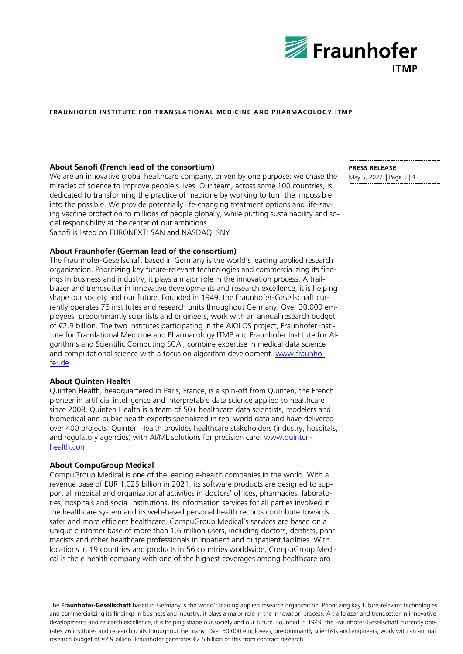

## **About Sanofi (French lead of the consortium)**

We are an innovative global healthcare company, driven by one purpose: we chase the miracles of science to improve people's lives. Our team, across some 100 countries, is dedicated to transforming the practice of medicine by working to turn the impossible into the possible. We provide potentially life-changing treatment options and life-saving vaccine protection to millions of people globally, while putting sustainability and social responsibility at the center of our ambitions. Sanofi is listed on EURONEXT: SAN and NASDAQ: SNY

**About Fraunhofer (German lead of the consortium)**

The Fraunhofer-Gesellschaft based in Germany is the world's leading applied research organization. Prioritizing key future-relevant technologies and commercializing its findings in business and industry, it plays a major role in the innovation process. A trailblazer and trendsetter in innovative developments and research excellence, it is helping shape our society and our future. Founded in 1949, the Fraunhofer-Gesellschaft currently operates 76 institutes and research units throughout Germany. Over 30,000 employees, predominantly scientists and engineers, work with an annual research budget of €2.9 billion. The two institutes participating in the AIOLOS project, Fraunhofer Institute for Translational Medicine and Pharmacology ITMP and Fraunhofer Institute for Algorithms and Scientific Computing SCAI, combine expertise in medical data science and computational science with a focus on algorithm development. [www.fraunho](http://www.fraunhofer.de/)[fer.de](http://www.fraunhofer.de/)

### **About Quinten Health**

Quinten Health, headquartered in Paris, France, is a spin-off from Quinten, the French pioneer in artificial intelligence and interpretable data science applied to healthcare since 2008. Quinten Health is a team of 50+ healthcare data scientists, modelers and biomedical and public health experts specialized in real-world data and have delivered over 400 projects. Quinten Health provides healthcare stakeholders (industry, hospitals, and regulatory agencies) with AI/ML solutions for precision care. [www.quinten](http://www.quinten-health.com/)[health.com](http://www.quinten-health.com/)

### **About CompuGroup Medical**

CompuGroup Medical is one of the leading e-health companies in the world. With a revenue base of EUR 1.025 billion in 2021, its software products are designed to support all medical and organizational activities in doctors' offices, pharmacies, laboratories, hospitals and social institutions. Its information services for all parties involved in the healthcare system and its web-based personal health records contribute towards safer and more efficient healthcare. CompuGroup Medical's services are based on a unique customer base of more than 1.6 million users, including doctors, dentists, pharmacists and other healthcare professionals in inpatient and outpatient facilities. With locations in 19 countries and products in 56 countries worldwide, CompuGroup Medical is the e-health company with one of the highest coverages among healthcare pro-

The **Fraunhofer-Gesellschaft** based in Germany is the world's leading applied research organization. Prioritizing key future-relevant technologies and commercializing its findings in business and industry, it plays a major role in the innovation process. A trailblazer and trendsetter in innovative developments and research excellence, it is helping shape our society and our future. Founded in 1949, the Fraunhofer-Gesellschaft currently operates 76 institutes and research units throughout Germany. Over 30,000 employees, predominantly scientists and engineers, work with an annual research budget of €2.9 billion. Fraunhofer generates €2.5 billion of this from contract research.

**PRESS RELEASE**

May 5, 2022 || Page 3 | 4